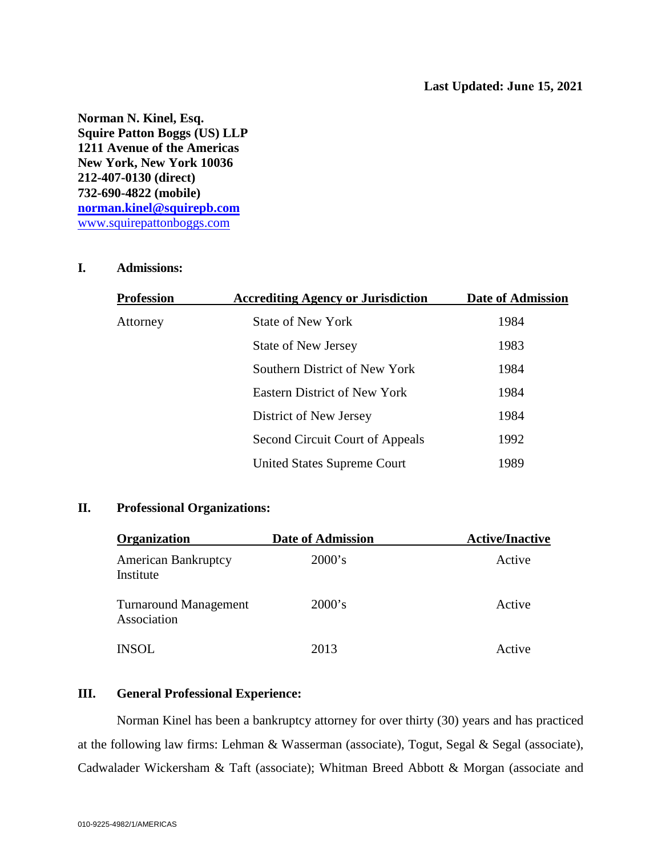**Norman N. Kinel, Esq. Squire Patton Boggs (US) LLP 1211 Avenue of the Americas New York, New York 10036 212-407-0130 (direct) 732-690-4822 (mobile) [norman.kinel@squirepb.com](mailto:norman.kinel@squirepb.com)** [www.squirepattonboggs.com](http://www.squirepattonboggs.com/)

### **I. Admissions:**

| Profession | <b>Accrediting Agency or Jurisdiction</b> | Date of Admission |
|------------|-------------------------------------------|-------------------|
| Attorney   | <b>State of New York</b>                  | 1984              |
|            | <b>State of New Jersey</b>                | 1983              |
|            | Southern District of New York             | 1984              |
|            | <b>Eastern District of New York</b>       | 1984              |
|            | District of New Jersey                    | 1984              |
|            | Second Circuit Court of Appeals           | 1992              |
|            | <b>United States Supreme Court</b>        | 1989              |

# **II. Professional Organizations:**

| <b>Organization</b>                         | <b>Date of Admission</b> | <b>Active/Inactive</b> |
|---------------------------------------------|--------------------------|------------------------|
| <b>American Bankruptcy</b><br>Institute     | 2000's                   | Active                 |
| <b>Turnaround Management</b><br>Association | 2000's                   | Active                 |
| <b>INSOL</b>                                | 2013                     | Active                 |

## **III. General Professional Experience:**

Norman Kinel has been a bankruptcy attorney for over thirty (30) years and has practiced at the following law firms: Lehman & Wasserman (associate), Togut, Segal & Segal (associate), Cadwalader Wickersham & Taft (associate); Whitman Breed Abbott & Morgan (associate and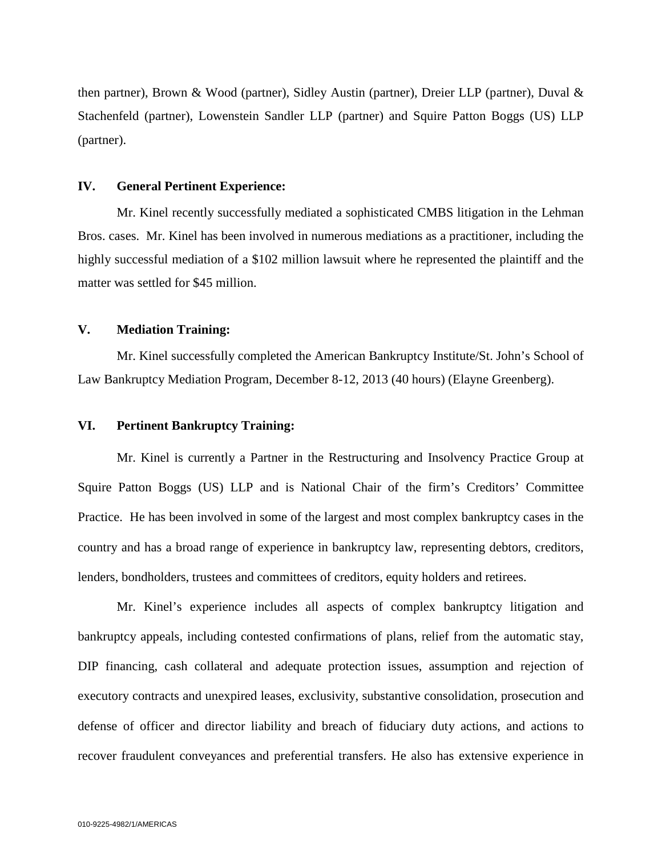then partner), Brown & Wood (partner), Sidley Austin (partner), Dreier LLP (partner), Duval & Stachenfeld (partner), Lowenstein Sandler LLP (partner) and Squire Patton Boggs (US) LLP (partner).

#### **IV. General Pertinent Experience:**

Mr. Kinel recently successfully mediated a sophisticated CMBS litigation in the Lehman Bros. cases. Mr. Kinel has been involved in numerous mediations as a practitioner, including the highly successful mediation of a \$102 million lawsuit where he represented the plaintiff and the matter was settled for \$45 million.

#### **V. Mediation Training:**

Mr. Kinel successfully completed the American Bankruptcy Institute/St. John's School of Law Bankruptcy Mediation Program, December 8-12, 2013 (40 hours) (Elayne Greenberg).

#### **VI. Pertinent Bankruptcy Training:**

Mr. Kinel is currently a Partner in the Restructuring and Insolvency Practice Group at Squire Patton Boggs (US) LLP and is National Chair of the firm's Creditors' Committee Practice. He has been involved in some of the largest and most complex bankruptcy cases in the country and has a broad range of experience in bankruptcy law, representing debtors, creditors, lenders, bondholders, trustees and committees of creditors, equity holders and retirees.

Mr. Kinel's experience includes all aspects of complex bankruptcy litigation and bankruptcy appeals, including contested confirmations of plans, relief from the automatic stay, DIP financing, cash collateral and adequate protection issues, assumption and rejection of executory contracts and unexpired leases, exclusivity, substantive consolidation, prosecution and defense of officer and director liability and breach of fiduciary duty actions, and actions to recover fraudulent conveyances and preferential transfers. He also has extensive experience in